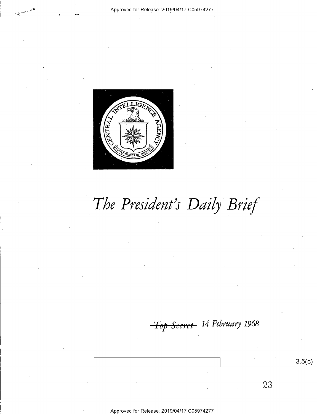### Approved for Release: 2019/04/17 C05974277

 $E\widetilde{\Gamma}^{C}$ ( $E$ ) {/If)'  $\hat{\mathcal{L}}$ . Z  $\sqrt{\text{TRA}}$ **AGEI**  $\sim$ 

o\ 2 4/ TED STATES OF AMERICA 'z

# The President's Daily Brief

<del>Top Secret</del>- 14 February 1968

 $3.5(c)$ 

23

Approved for Release: 2019/O4/17 CO5974277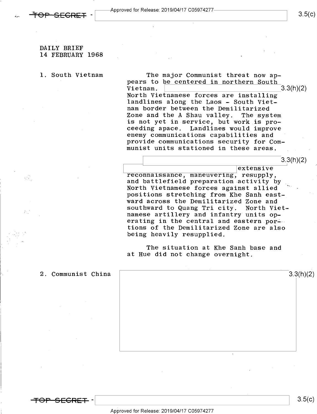

- Approved for Release: 2019/04/17 C05974277<br>-<br>.

### DAILY BRIEF 14 FEBRUARY 1968

40.

1. South Vietnam The major Communist threat now appears to be centered in northern South<br>Vietnam.  $Vietnam. \t\t3.3(h)(2)$ North Vietnamese forces are installing landlines along the Laos - South Vietnam border between the Demilitarized Zone and the A Shau valley. The system is not yet in service, but work is proceeding apace. Landlines would improve enemy communications capabilities and provide communications security for Communist units stationed in these areas.

> extensive<br>
> reconnaissance, maneuvering, resupply, and battlefield preparation activity by North Vietnamese forces against allied positions stretching from Khe Sanh eastward across the Demilitarized Zone and<br>southward to Quang Tri city. North Vietsouthward to Quang Tri city. namese artillery and infantry units operating in the central and eastern portions of the Demilitarized Zone are also being heavily resupplied.

The situation at Khe Sanh base and at Hue did not change overnight.

2. Communist China  $\sqrt{3.3(h)(2)}$ 

<del>SECRET</del> ·

 $3.5(c)$ 

 $3.5(c)$ 

3.3(h)(2)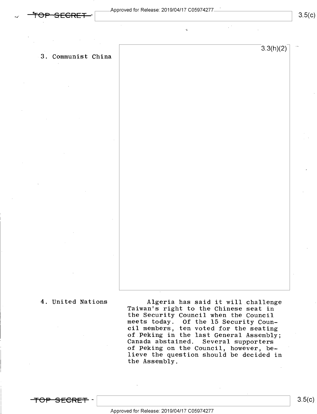w

 $\sim$   $\sim$ 

3. Communist China

 $3.3(h)(2)$ 

 $3.5(c)$ 

4. United Nations Algeria has said it will challenge<br>Taiwan's right to the Chinese seat in<br>the Security Council when the Council<br>meets today. Of the 15 Security Council members, ten voted for the seating of.Peking in the last General Assembly; Canada abstained. Several supporters of Peking on the Council, however, believe the question should be decided in the Assembly.

<del>secre</del>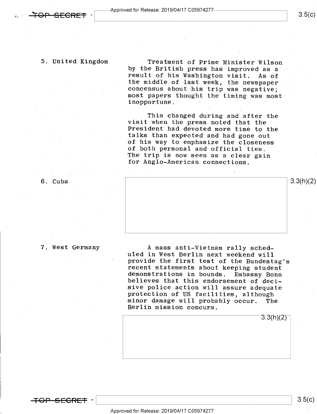$\textcolor{red}{\textbf{-} \textbf{F}\textbf{O}\textbf{P}\textbf{-}\textbf{S}\textbf{E}\textbf{C}\textbf{R}\textbf{E}\textbf{T}}$  -  $\textcolor{red}{\textbf{P}}$ 

5. United Kingdom Treatment of Prime Minister Wilson result of his Washington visit. As of the middle of last week, the newspaper<br>concensus about his trip was negative; most papers thought the timing was most inopportune.

> This changed during and after the<br>visit when the press noted that the<br>President had devoted more time to the talks than expected and had gone out<br>of his way to emphasize the closeness<br>of both personal and official ties. The trip is now seen as a clear gain<br>for Anglo-American connections.



7. West Germany<br>
a mass anti-Vietnam rally sched-<br>
uled in West Berlin next weekend will<br>
provide the first test of the Bundestag's<br>
recent statements about keeping student<br>
demonstrations in bounds. Embassy Bonn<br>
believes

 $3.3(h)(2)^{-}$ 

<del>-TOP SECRET</del> –

 $3.5(c)$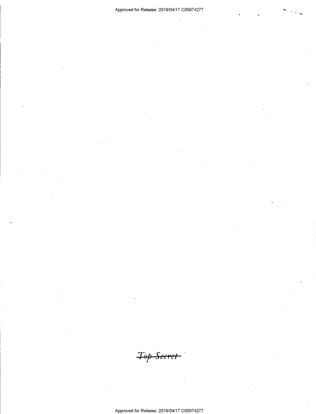Top Secret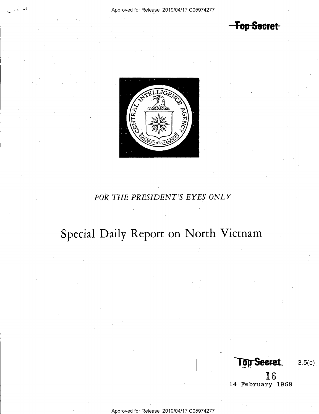**Top Secret** 



## FOR THE PRESIDENT'S EYES ONLY

Special Daily Report on North Vietnam

**Top Secret** 

 $3.5(c)$ 

16 14 February 1968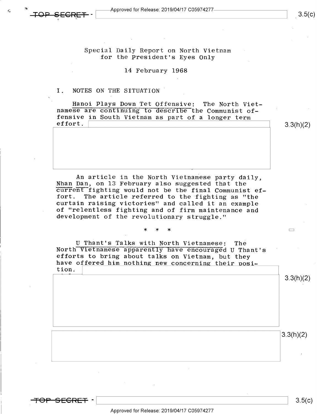Special Daily Report on North Vietnam for the President's Eyes Only

### l4 February 1968

### I. NOTES ON THE SITUATION

h 39

Hanoi Plays Down Tet Offensive: The North Viet- namese are continuing to describe the Communist offensive in South Vietnam as part of a longer term<br>effort. effort. \ \ 3.3(h)(2)

 $3.5(c)$ 

An article in the North Vietnamese party daily,<br>Nhan Dan, on 13 February also suggested that the<br>Eurrent fighting would not be the final Communist effort. The article referred to the fighting as "the curtain raising victories" and called it an example development of the revolutionary struggle."

\* \* \*  $\Box$ 

U Thant's Talks with North Vietnamese: The<br>North Vietnamese apparently have encouraged U Thant's<br>efforts to bring about talks on Vietnam, but they have offered him nothing new concerning their position;

3.3(h)(2)

3.3(h)(2)

<del>TOP SECRET</del> –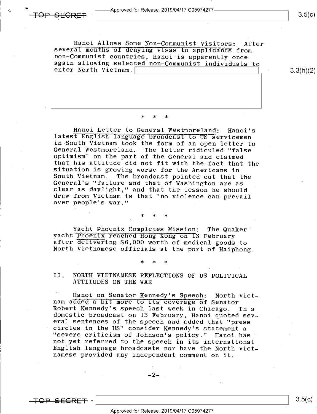$\checkmark$ 

Hanoi Allows Some Non-Communist Visitors: After several months of denying visas to applicants from non-Communist countries, Hanoi is apparently once again allowing selected non-Communist individuals to enter North Vietnam.

3.3(h)(2)

### \* \* \*

Hanoi Letter to General Westmoreland: Hanoi's<br>latest English language broadcast to US servicemen<br>in South Vietnam took the form of an open letter to<br>General Westmoreland. The letter ridiculed "false<br>optimism" on the part o

\* \* \*

Yacht Phoenix Completes Mission: The Quaker<br>yacht Phoenix reached Hong Kong on I3 February<br>after delivering \$6,000 worth of medical goods to<br>North Vietnamese officials at the port of Haiphong.

\* \* \*

II. NORTH VIETNAMESE REFLECTIONS OF US POLITICAL ATTITUDES ON THE WAR

Hanoi on Senator Kennedy's Speech: North Viet-<br>nam added a bit more to its coverage of Senator<br>Robert Kennedy's speech last week in Chicago. In a<br>domestic broadcast on 13 February, Hanoi quoted sev-<br>eral sentences of the s English language broadcasts nor have the North Viet-<br>namese provided any independent comment on it.

 $-2-$ 

<del>TOP SECRET</del> –

 $3.5(c)$